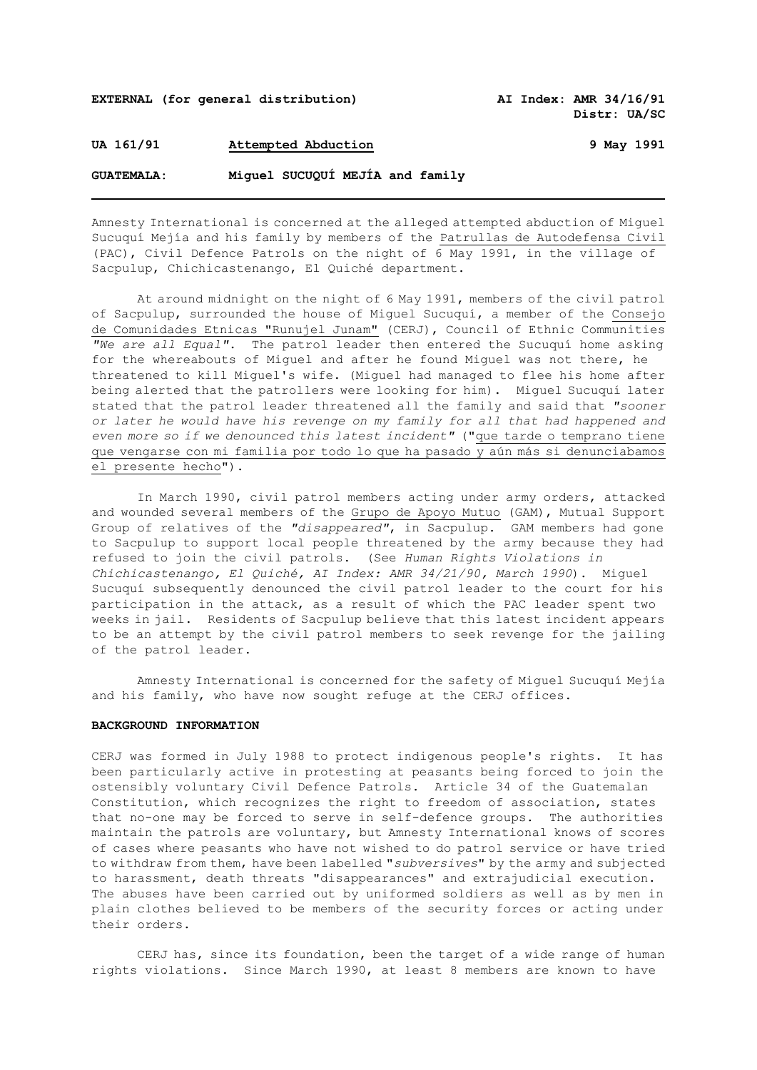**EXTERNAL (for general distribution) AI Index: AMR 34/16/91**

**Distr: UA/SC** 

**UA 161/91 Attempted Abduction 9 May 1991**

**GUATEMALA: Miguel SUCUQUÍ MEJÍA and family**

Amnesty International is concerned at the alleged attempted abduction of Miguel Sucuquí Mejía and his family by members of the Patrullas de Autodefensa Civil (PAC), Civil Defence Patrols on the night of 6 May 1991, in the village of Sacpulup, Chichicastenango, El Quiché department.

At around midnight on the night of 6 May 1991, members of the civil patrol of Sacpulup, surrounded the house of Miguel Sucuquí, a member of the Consejo de Comunidades Etnicas "Runujel Junam" (CERJ), Council of Ethnic Communities *"We are all Equal"*. The patrol leader then entered the Sucuquí home asking for the whereabouts of Miguel and after he found Miguel was not there, he threatened to kill Miguel's wife. (Miguel had managed to flee his home after being alerted that the patrollers were looking for him). Miguel Sucuquí later stated that the patrol leader threatened all the family and said that *"sooner or later he would have his revenge on my family for all that had happened and even more so if we denounced this latest incident"* ("que tarde o temprano tiene que vengarse con mi familia por todo lo que ha pasado y aún más si denunciabamos el presente hecho").

In March 1990, civil patrol members acting under army orders, attacked and wounded several members of the Grupo de Apoyo Mutuo (GAM), Mutual Support Group of relatives of the *"disappeared"*, in Sacpulup. GAM members had gone to Sacpulup to support local people threatened by the army because they had refused to join the civil patrols. (See *Human Rights Violations in Chichicastenango, El Quiché, AI Index: AMR 34/21/90, March 1990*). Miguel Sucuquí subsequently denounced the civil patrol leader to the court for his participation in the attack, as a result of which the PAC leader spent two weeks in jail. Residents of Sacpulup believe that this latest incident appears to be an attempt by the civil patrol members to seek revenge for the jailing of the patrol leader.

Amnesty International is concerned for the safety of Miguel Sucuquí Mejía and his family, who have now sought refuge at the CERJ offices.

## **BACKGROUND INFORMATION**

CERJ was formed in July 1988 to protect indigenous people's rights. It has been particularly active in protesting at peasants being forced to join the ostensibly voluntary Civil Defence Patrols. Article 34 of the Guatemalan Constitution, which recognizes the right to freedom of association, states that no-one may be forced to serve in self-defence groups. The authorities maintain the patrols are voluntary, but Amnesty International knows of scores of cases where peasants who have not wished to do patrol service or have tried to withdraw from them, have been labelled "*subversives*" by the army and subjected to harassment, death threats "disappearances" and extrajudicial execution. The abuses have been carried out by uniformed soldiers as well as by men in plain clothes believed to be members of the security forces or acting under their orders.

CERJ has, since its foundation, been the target of a wide range of human rights violations. Since March 1990, at least 8 members are known to have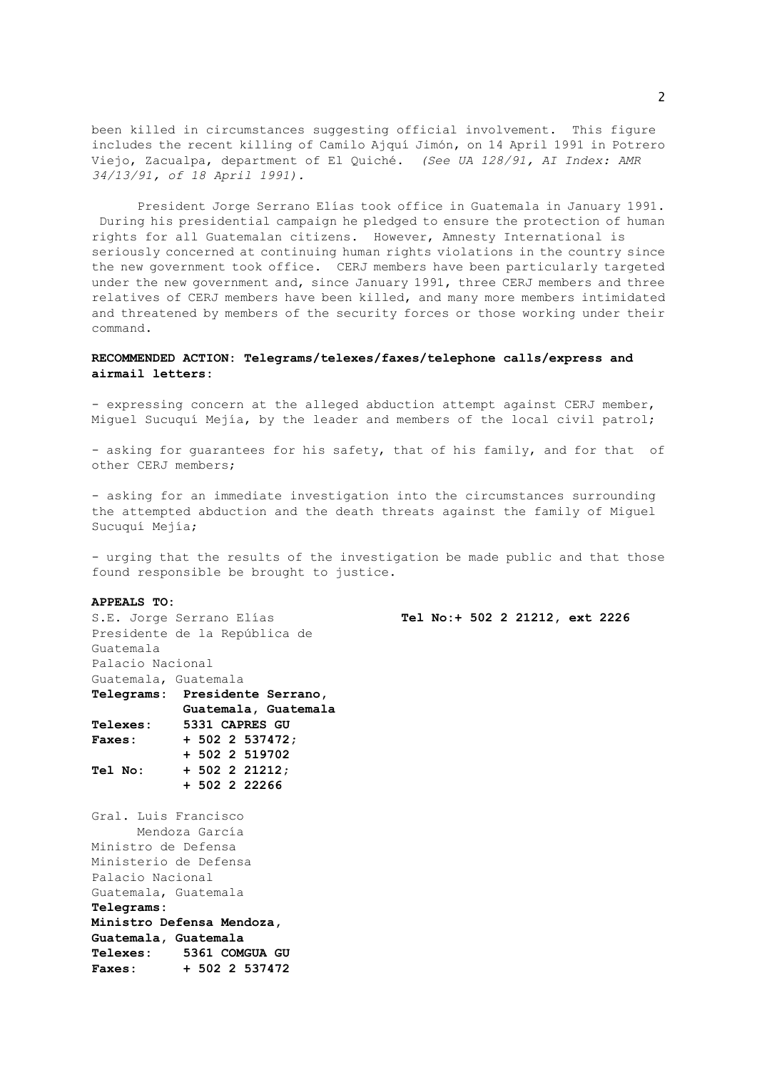been killed in circumstances suggesting official involvement. This figure includes the recent killing of Camilo Ajquí Jimón, on 14 April 1991 in Potrero Viejo, Zacualpa, department of El Quiché. *(See UA 128/91, AI Index: AMR 34/13/91, of 18 April 1991).*

President Jorge Serrano Elías took office in Guatemala in January 1991. During his presidential campaign he pledged to ensure the protection of human rights for all Guatemalan citizens. However, Amnesty International is seriously concerned at continuing human rights violations in the country since the new government took office. CERJ members have been particularly targeted under the new government and, since January 1991, three CERJ members and three relatives of CERJ members have been killed, and many more members intimidated and threatened by members of the security forces or those working under their command.

## **RECOMMENDED ACTION: Telegrams/telexes/faxes/telephone calls/express and airmail letters:**

- expressing concern at the alleged abduction attempt against CERJ member, Miguel Sucuquí Mejía, by the leader and members of the local civil patrol;

- asking for guarantees for his safety, that of his family, and for that of other CERJ members;

- asking for an immediate investigation into the circumstances surrounding the attempted abduction and the death threats against the family of Miguel Sucuquí Mejía;

- urging that the results of the investigation be made public and that those found responsible be brought to justice.

## **APPEALS TO:**

S.E. Jorge Serrano Elías Presidente de la República de Guatemala Palacio Nacional Guatemala, Guatemala **Telegrams: Presidente Serrano, Guatemala, Guatemala Telexes: 5331 CAPRES GU Faxes: + 502 2 537472; + 502 2 519702 Tel No: + 502 2 21212; + 502 2 22266** Gral. Luis Francisco Mendoza García Ministro de Defensa Ministerio de Defensa Palacio Nacional Guatemala, Guatemala **Telegrams: Ministro Defensa Mendoza, Guatemala, Guatemala Telexes: 5361 COMGUA GU Faxes: + 502 2 537472**

**Tel No:+ 502 2 21212, ext 2226**